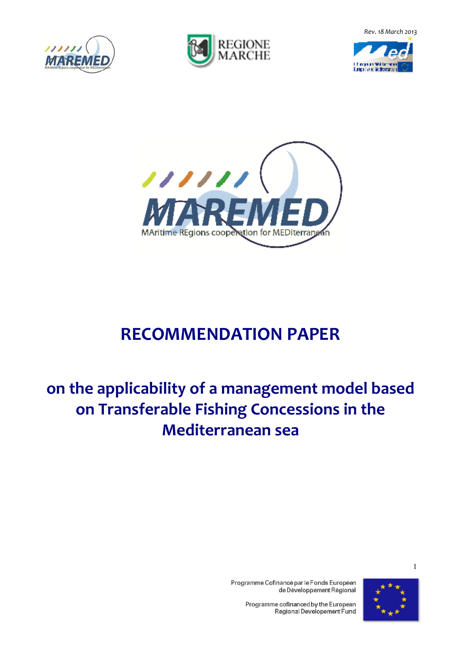*Rev. 18 March 2013* 









# **RECOMMENDATION PAPER**

# **on the applicability of a management model based on Transferable Fishing Concessions in the Mediterranean sea**



1

Programme Cofinancé par le Fonds Européen de Développement Régional

> Programme cofinanced by the European Regional Developement Fund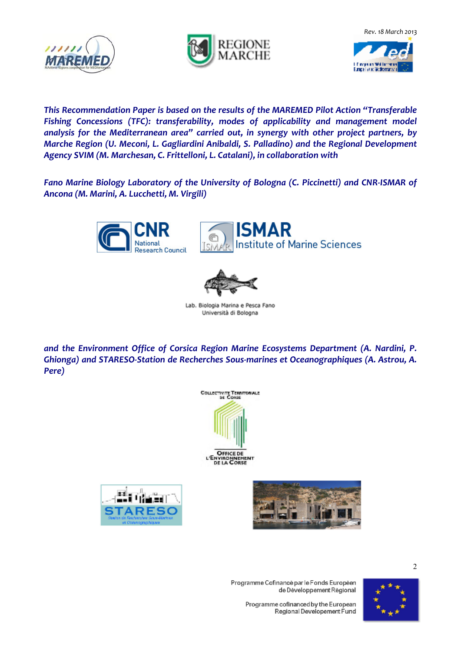





*This Recommendation Paper is based on the results of the MAREMED Pilot Action "Transferable Fishing Concessions (TFC): transferability, modes of applicability and management model analysis for the Mediterranean area" carried out, in synergy with other project partners, by Marche Region (U. Meconi, L. Gagliardini Anibaldi, S. Palladino) and the Regional Development Agency SVIM (M. Marchesan, C. Frittelloni, L. Catalani), in collaboration with* 

*Fano Marine Biology Laboratory of the University of Bologna (C. Piccinetti) and CNR-ISMAR of Ancona (M. Marini, A. Lucchetti, M. Virgili)* 







Lab. Biologia Marina e Pesca Fano Università di Bologna

*and the Environment Office of Corsica Region Marine Ecosystems Department (A. Nardini, P. Ghionga) and STARESO-Station de Recherches Sous-marines et Oceanographiques (A. Astrou, A. Pere)* 









2

Programme Cofinancé par le Fonds Européen de Développement Régional

> Programme cofinanced by the European Regional Developement Fund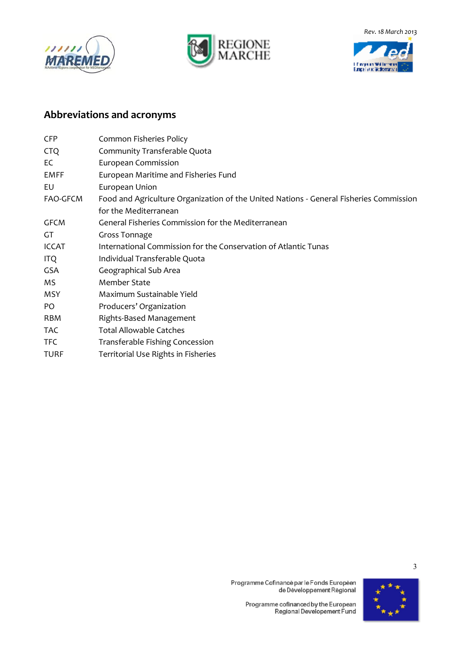







#### **Abbreviations and acronyms**

| <b>CFP</b>   | Common Fisheries Policy                                                                |
|--------------|----------------------------------------------------------------------------------------|
| <b>CTQ</b>   | Community Transferable Quota                                                           |
| EC           | European Commission                                                                    |
| EMFF         | European Maritime and Fisheries Fund                                                   |
| EU           | European Union                                                                         |
| FAO-GFCM     | Food and Agriculture Organization of the United Nations - General Fisheries Commission |
|              | for the Mediterranean                                                                  |
| <b>GFCM</b>  | General Fisheries Commission for the Mediterranean                                     |
| GT           | Gross Tonnage                                                                          |
| <b>ICCAT</b> | International Commission for the Conservation of Atlantic Tunas                        |
| <b>ITQ</b>   | Individual Transferable Quota                                                          |
| <b>GSA</b>   | Geographical Sub Area                                                                  |
| ΜS           | Member State                                                                           |
| <b>MSY</b>   | Maximum Sustainable Yield                                                              |
| PO           | Producers' Organization                                                                |
| RBM          | Rights-Based Management                                                                |
| <b>TAC</b>   | <b>Total Allowable Catches</b>                                                         |
| TFC.         | Transferable Fishing Concession                                                        |
| TURF         | Territorial Use Rights in Fisheries                                                    |
|              |                                                                                        |



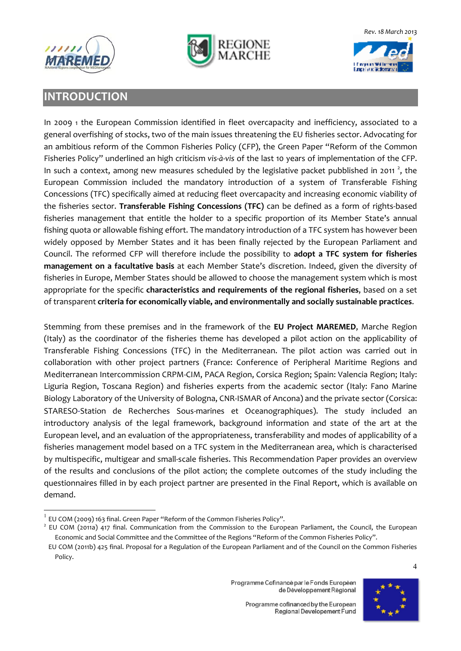





#### **INTRODUCTION**

In 2009 1 the European Commission identified in fleet overcapacity and inefficiency, associated to a general overfishing of stocks, two of the main issues threatening the EU fisheries sector. Advocating for an ambitious reform of the Common Fisheries Policy (CFP), the Green Paper "Reform of the Common Fisheries Policy" underlined an high criticism *vis-à-vis* of the last 10 years of implementation of the CFP. In such a context, among new measures scheduled by the legislative packet pubblished in 2011<sup>2</sup>, the European Commission included the mandatory introduction of a system of Transferable Fishing Concessions (TFC) specifically aimed at reducing fleet overcapacity and increasing economic viability of the fisheries sector. **Transferable Fishing Concessions (TFC)** can be defined as a form of rights-based fisheries management that entitle the holder to a specific proportion of its Member State's annual fishing quota or allowable fishing effort. The mandatory introduction of a TFC system has however been widely opposed by Member States and it has been finally rejected by the European Parliament and Council. The reformed CFP will therefore include the possibility to **adopt a TFC system for fisheries management on a facultative basis** at each Member State's discretion. Indeed, given the diversity of fisheries in Europe, Member States should be allowed to choose the management system which is most appropriate for the specific **characteristics and requirements of the regional fisheries**, based on a set of transparent **criteria for economically viable, and environmentally and socially sustainable practices**.

Stemming from these premises and in the framework of the **EU Project MAREMED**, Marche Region (Italy) as the coordinator of the fisheries theme has developed a pilot action on the applicability of Transferable Fishing Concessions (TFC) in the Mediterranean. The pilot action was carried out in collaboration with other project partners (France: Conference of Peripheral Maritime Regions and Mediterranean Intercommission CRPM-CIM, PACA Region, Corsica Region; Spain: Valencia Region; Italy: Liguria Region, Toscana Region) and fisheries experts from the academic sector (Italy: Fano Marine Biology Laboratory of the University of Bologna, CNR-ISMAR of Ancona) and the private sector (Corsica: STARESO*-*Station de Recherches Sous-marines et Oceanographiques). The study included an introductory analysis of the legal framework, background information and state of the art at the European level, and an evaluation of the appropriateness, transferability and modes of applicability of a fisheries management model based on a TFC system in the Mediterranean area, which is characterised by multispecific, multigear and small-scale fisheries. This Recommendation Paper provides an overview of the results and conclusions of the pilot action; the complete outcomes of the study including the questionnaires filled in by each project partner are presented in the Final Report, which is available on demand.

l



 $^1$  EU COM (2009) 163 final. Green Paper "Reform of the Common Fisheries Policy".

<sup>&</sup>lt;sup>2</sup> EU COM (2011a) 417 final. Communication from the Commission to the European Parliament, the Council, the European Economic and Social Committee and the Committee of the Regions "Reform of the Common Fisheries Policy".

EU COM (2011b) 425 final. Proposal for a Regulation of the European Parliament and of the Council on the Common Fisheries Policy.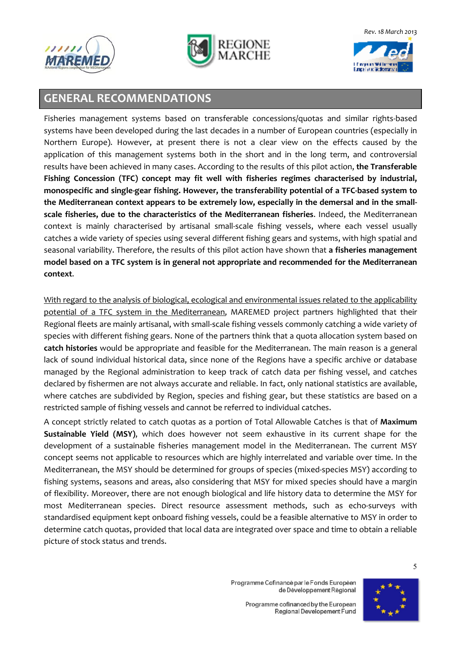





### **GENERAL RECOMMENDATIONS**

Fisheries management systems based on transferable concessions/quotas and similar rights-based systems have been developed during the last decades in a number of European countries (especially in Northern Europe). However, at present there is not a clear view on the effects caused by the application of this management systems both in the short and in the long term, and controversial results have been achieved in many cases. According to the results of this pilot action, **the Transferable Fishing Concession (TFC) concept may fit well with fisheries regimes characterised by industrial, monospecific and single-gear fishing. However, the transferability potential of a TFC-based system to the Mediterranean context appears to be extremely low, especially in the demersal and in the smallscale fisheries, due to the characteristics of the Mediterranean fisheries**. Indeed, the Mediterranean context is mainly characterised by artisanal small-scale fishing vessels, where each vessel usually catches a wide variety of species using several different fishing gears and systems, with high spatial and seasonal variability. Therefore, the results of this pilot action have shown that **a fisheries management model based on a TFC system is in general not appropriate and recommended for the Mediterranean context**.

With regard to the analysis of biological, ecological and environmental issues related to the applicability potential of a TFC system in the Mediterranean, MAREMED project partners highlighted that their Regional fleets are mainly artisanal, with small-scale fishing vessels commonly catching a wide variety of species with different fishing gears. None of the partners think that a quota allocation system based on **catch histories** would be appropriate and feasible for the Mediterranean. The main reason is a general lack of sound individual historical data, since none of the Regions have a specific archive or database managed by the Regional administration to keep track of catch data per fishing vessel, and catches declared by fishermen are not always accurate and reliable. In fact, only national statistics are available, where catches are subdivided by Region, species and fishing gear, but these statistics are based on a restricted sample of fishing vessels and cannot be referred to individual catches.

A concept strictly related to catch quotas as a portion of Total Allowable Catches is that of **Maximum Sustainable Yield (MSY)**, which does however not seem exhaustive in its current shape for the development of a sustainable fisheries management model in the Mediterranean. The current MSY concept seems not applicable to resources which are highly interrelated and variable over time. In the Mediterranean, the MSY should be determined for groups of species (mixed-species MSY) according to fishing systems, seasons and areas, also considering that MSY for mixed species should have a margin of flexibility. Moreover, there are not enough biological and life history data to determine the MSY for most Mediterranean species. Direct resource assessment methods, such as echo-surveys with standardised equipment kept onboard fishing vessels, could be a feasible alternative to MSY in order to determine catch quotas, provided that local data are integrated over space and time to obtain a reliable picture of stock status and trends.



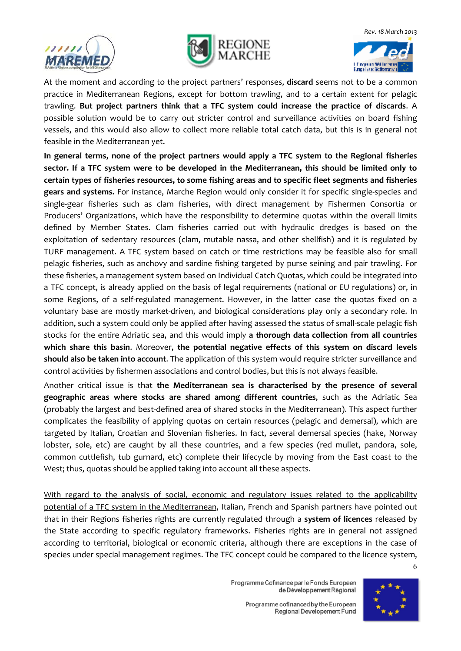





At the moment and according to the project partners' responses, **discard** seems not to be a common practice in Mediterranean Regions, except for bottom trawling, and to a certain extent for pelagic trawling. **But project partners think that a TFC system could increase the practice of discards**. A possible solution would be to carry out stricter control and surveillance activities on board fishing vessels, and this would also allow to collect more reliable total catch data, but this is in general not feasible in the Mediterranean yet.

**In general terms, none of the project partners would apply a TFC system to the Regional fisheries sector. If a TFC system were to be developed in the Mediterranean, this should be limited only to certain types of fisheries resources, to some fishing areas and to specific fleet segments and fisheries gears and systems.** For instance, Marche Region would only consider it for specific single-species and single-gear fisheries such as clam fisheries, with direct management by Fishermen Consortia or Producers' Organizations, which have the responsibility to determine quotas within the overall limits defined by Member States. Clam fisheries carried out with hydraulic dredges is based on the exploitation of sedentary resources (clam, mutable nassa, and other shellfish) and it is regulated by TURF management. A TFC system based on catch or time restrictions may be feasible also for small pelagic fisheries, such as anchovy and sardine fishing targeted by purse seining and pair trawling. For these fisheries, a management system based on Individual Catch Quotas, which could be integrated into a TFC concept, is already applied on the basis of legal requirements (national or EU regulations) or, in some Regions, of a self-regulated management. However, in the latter case the quotas fixed on a voluntary base are mostly market-driven, and biological considerations play only a secondary role. In addition, such a system could only be applied after having assessed the status of small-scale pelagic fish stocks for the entire Adriatic sea, and this would imply **a thorough data collection from all countries which share this basin**. Moreover, **the potential negative effects of this system on discard levels should also be taken into account**. The application of this system would require stricter surveillance and control activities by fishermen associations and control bodies, but this is not always feasible.

Another critical issue is that **the Mediterranean sea is characterised by the presence of several geographic areas where stocks are shared among different countries**, such as the Adriatic Sea (probably the largest and best-defined area of shared stocks in the Mediterranean). This aspect further complicates the feasibility of applying quotas on certain resources (pelagic and demersal), which are targeted by Italian, Croatian and Slovenian fisheries. In fact, several demersal species (hake, Norway lobster, sole, etc) are caught by all these countries, and a few species (red mullet, pandora, sole, common cuttlefish, tub gurnard, etc) complete their lifecycle by moving from the East coast to the West; thus, quotas should be applied taking into account all these aspects.

6 With regard to the analysis of social, economic and regulatory issues related to the applicability potential of a TFC system in the Mediterranean, Italian, French and Spanish partners have pointed out that in their Regions fisheries rights are currently regulated through a **system of licences** released by the State according to specific regulatory frameworks. Fisheries rights are in general not assigned according to territorial, biological or economic criteria, although there are exceptions in the case of species under special management regimes. The TFC concept could be compared to the licence system,

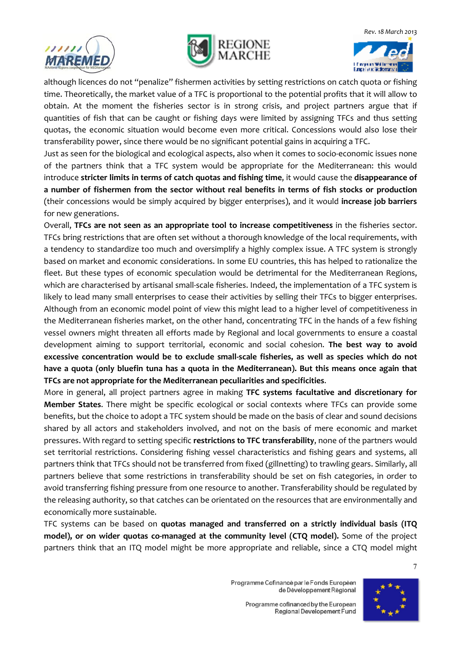





although licences do not "penalize" fishermen activities by setting restrictions on catch quota or fishing time. Theoretically, the market value of a TFC is proportional to the potential profits that it will allow to obtain. At the moment the fisheries sector is in strong crisis, and project partners argue that if quantities of fish that can be caught or fishing days were limited by assigning TFCs and thus setting quotas, the economic situation would become even more critical. Concessions would also lose their transferability power, since there would be no significant potential gains in acquiring a TFC.

Just as seen for the biological and ecological aspects, also when it comes to socio-economic issues none of the partners think that a TFC system would be appropriate for the Mediterranean: this would introduce **stricter limits in terms of catch quotas and fishing time**, it would cause the **disappearance of a number of fishermen from the sector without real benefits in terms of fish stocks or production** (their concessions would be simply acquired by bigger enterprises), and it would **increase job barriers** for new generations.

Overall, **TFCs are not seen as an appropriate tool to increase competitiveness** in the fisheries sector. TFCs bring restrictions that are often set without a thorough knowledge of the local requirements, with a tendency to standardize too much and oversimplify a highly complex issue. A TFC system is strongly based on market and economic considerations. In some EU countries, this has helped to rationalize the fleet. But these types of economic speculation would be detrimental for the Mediterranean Regions, which are characterised by artisanal small-scale fisheries. Indeed, the implementation of a TFC system is likely to lead many small enterprises to cease their activities by selling their TFCs to bigger enterprises. Although from an economic model point of view this might lead to a higher level of competitiveness in the Mediterranean fisheries market, on the other hand, concentrating TFC in the hands of a few fishing vessel owners might threaten all efforts made by Regional and local governments to ensure a coastal development aiming to support territorial, economic and social cohesion. **The best way to avoid excessive concentration would be to exclude small-scale fisheries, as well as species which do not have a quota (only bluefin tuna has a quota in the Mediterranean). But this means once again that TFCs are not appropriate for the Mediterranean peculiarities and specificities**.

More in general, all project partners agree in making **TFC systems facultative and discretionary for Member States**. There might be specific ecological or social contexts where TFCs can provide some benefits, but the choice to adopt a TFC system should be made on the basis of clear and sound decisions shared by all actors and stakeholders involved, and not on the basis of mere economic and market pressures. With regard to setting specific **restrictions to TFC transferability**, none of the partners would set territorial restrictions. Considering fishing vessel characteristics and fishing gears and systems, all partners think that TFCs should not be transferred from fixed (gillnetting) to trawling gears. Similarly, all partners believe that some restrictions in transferability should be set on fish categories, in order to avoid transferring fishing pressure from one resource to another. Transferability should be regulated by the releasing authority, so that catches can be orientated on the resources that are environmentally and economically more sustainable.

TFC systems can be based on **quotas managed and transferred on a strictly individual basis (ITQ model), or on wider quotas co-managed at the community level (CTQ model).** Some of the project partners think that an ITQ model might be more appropriate and reliable, since a CTQ model might

> Programme Cofinancé par le Fonds Européen de Développement Régional

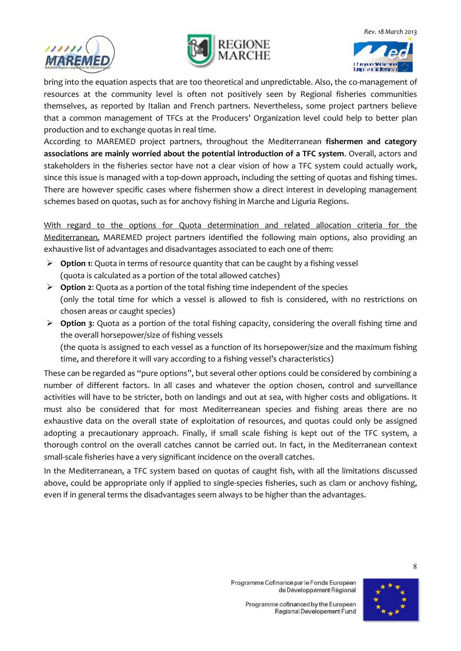





bring into the equation aspects that are too theoretical and unpredictable. Also, the co-management of resources at the community level is often not positively seen by Regional fisheries communities themselves, as reported by Italian and French partners. Nevertheless, some project partners believe that a common management of TFCs at the Producers' Organization level could help to better plan production and to exchange quotas in real time.

According to MAREMED project partners, throughout the Mediterranean **fishermen and category associations are mainly worried about the potential introduction of a TFC system**. Overall, actors and stakeholders in the fisheries sector have not a clear vision of how a TFC system could actually work, since this issue is managed with a top-down approach, including the setting of quotas and fishing times. There are however specific cases where fishermen show a direct interest in developing management schemes based on quotas, such as for anchovy fishing in Marche and Liguria Regions.

With regard to the options for Quota determination and related allocation criteria for the Mediterranean, MAREMED project partners identified the following main options, also providing an exhaustive list of advantages and disadvantages associated to each one of them:

- **Option 1**: Quota in terms of resource quantity that can be caught by a fishing vessel (quota is calculated as a portion of the total allowed catches)
- **Option 2**: Quota as a portion of the total fishing time independent of the species (only the total time for which a vessel is allowed to fish is considered, with no restrictions on chosen areas or caught species)
- **Option 3**: Quota as a portion of the total fishing capacity, considering the overall fishing time and the overall horsepower/size of fishing vessels (the quota is assigned to each vessel as a function of its horsepower/size and the maximum fishing time, and therefore it will vary according to a fishing vessel's characteristics)

These can be regarded as "pure options", but several other options could be considered by combining a number of different factors. In all cases and whatever the option chosen, control and surveillance activities will have to be stricter, both on landings and out at sea, with higher costs and obligations. It must also be considered that for most Mediterreanean species and fishing areas there are no exhaustive data on the overall state of exploitation of resources, and quotas could only be assigned adopting a precautionary approach. Finally, if small scale fishing is kept out of the TFC system, a thorough control on the overall catches cannot be carried out. In fact, in the Mediterranean context small-scale fisheries have a very significant incidence on the overall catches.

In the Mediterranean, a TFC system based on quotas of caught fish, with all the limitations discussed above, could be appropriate only if applied to single-species fisheries, such as clam or anchovy fishing, even if in general terms the disadvantages seem always to be higher than the advantages.

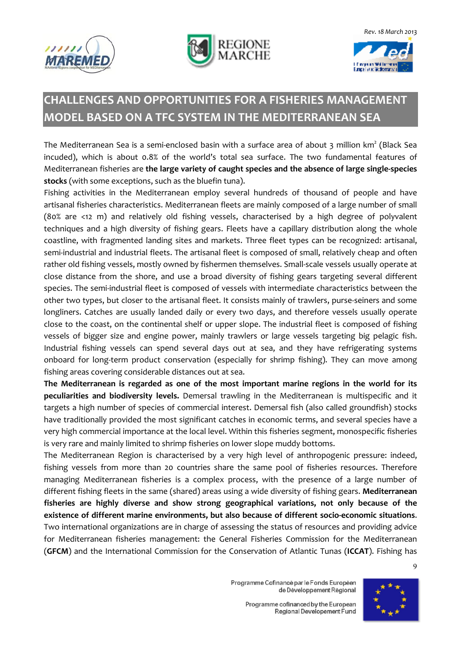





## **CHALLENGES AND OPPORTUNITIES FOR A FISHERIES MANAGEMENT MODEL BASED ON A TFC SYSTEM IN THE MEDITERRANEAN SEA**

The Mediterranean Sea is a semi-enclosed basin with a surface area of about 3 million  $km^2$  (Black Sea incuded), which is about 0.8% of the world's total sea surface. The two fundamental features of Mediterranean fisheries are **the large variety of caught species and the absence of large single-species stocks** (with some exceptions, such as the bluefin tuna).

Fishing activities in the Mediterranean employ several hundreds of thousand of people and have artisanal fisheries characteristics. Mediterranean fleets are mainly composed of a large number of small (80% are <12 m) and relatively old fishing vessels, characterised by a high degree of polyvalent techniques and a high diversity of fishing gears. Fleets have a capillary distribution along the whole coastline, with fragmented landing sites and markets. Three fleet types can be recognized: artisanal, semi-industrial and industrial fleets. The artisanal fleet is composed of small, relatively cheap and often rather old fishing vessels, mostly owned by fishermen themselves. Small-scale vessels usually operate at close distance from the shore, and use a broad diversity of fishing gears targeting several different species. The semi-industrial fleet is composed of vessels with intermediate characteristics between the other two types, but closer to the artisanal fleet. It consists mainly of trawlers, purse-seiners and some longliners. Catches are usually landed daily or every two days, and therefore vessels usually operate close to the coast, on the continental shelf or upper slope. The industrial fleet is composed of fishing vessels of bigger size and engine power, mainly trawlers or large vessels targeting big pelagic fish. Industrial fishing vessels can spend several days out at sea, and they have refrigerating systems onboard for long-term product conservation (especially for shrimp fishing). They can move among fishing areas covering considerable distances out at sea.

**The Mediterranean is regarded as one of the most important marine regions in the world for its peculiarities and biodiversity levels.** Demersal trawling in the Mediterranean is multispecific and it targets a high number of species of commercial interest. Demersal fish (also called groundfish) stocks have traditionally provided the most significant catches in economic terms, and several species have a very high commercial importance at the local level. Within this fisheries segment, monospecific fisheries is very rare and mainly limited to shrimp fisheries on lower slope muddy bottoms.

The Mediterranean Region is characterised by a very high level of anthropogenic pressure: indeed, fishing vessels from more than 20 countries share the same pool of fisheries resources. Therefore managing Mediterranean fisheries is a complex process, with the presence of a large number of different fishing fleets in the same (shared) areas using a wide diversity of fishing gears. **Mediterranean fisheries are highly diverse and show strong geographical variations, not only because of the existence of different marine environments, but also because of different socio-economic situations**. Two international organizations are in charge of assessing the status of resources and providing advice for Mediterranean fisheries management: the General Fisheries Commission for the Mediterranean (**GFCM**) and the International Commission for the Conservation of Atlantic Tunas (**ICCAT**). Fishing has

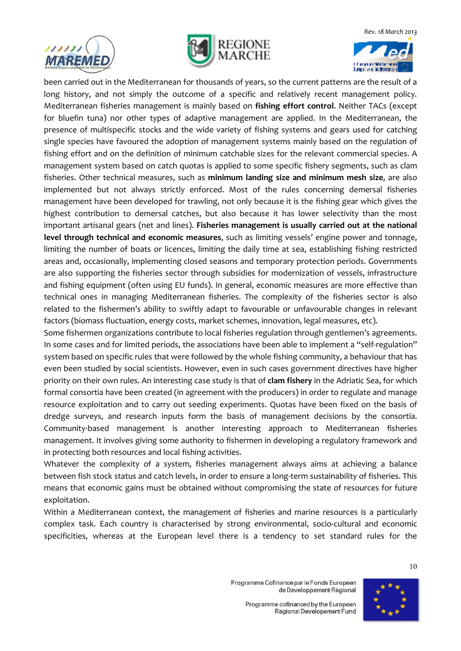





been carried out in the Mediterranean for thousands of years, so the current patterns are the result of a long history, and not simply the outcome of a specific and relatively recent management policy. Mediterranean fisheries management is mainly based on **fishing effort control**. Neither TACs (except for bluefin tuna) nor other types of adaptive management are applied. In the Mediterranean, the presence of multispecific stocks and the wide variety of fishing systems and gears used for catching single species have favoured the adoption of management systems mainly based on the regulation of fishing effort and on the definition of minimum catchable sizes for the relevant commercial species. A management system based on catch quotas is applied to some specific fishery segments, such as clam fisheries. Other technical measures, such as **minimum landing size and minimum mesh size**, are also implemented but not always strictly enforced. Most of the rules concerning demersal fisheries management have been developed for trawling, not only because it is the fishing gear which gives the highest contribution to demersal catches, but also because it has lower selectivity than the most important artisanal gears (net and lines). **Fisheries management is usually carried out at the national level through technical and economic measures**, such as limiting vessels' engine power and tonnage, limiting the number of boats or licences, limiting the daily time at sea, establishing fishing restricted areas and, occasionally, implementing closed seasons and temporary protection periods. Governments are also supporting the fisheries sector through subsidies for modernization of vessels, infrastructure and fishing equipment (often using EU funds). In general, economic measures are more effective than technical ones in managing Mediterranean fisheries. The complexity of the fisheries sector is also related to the fishermen's ability to swiftly adapt to favourable or unfavourable changes in relevant factors (biomass fluctuation, energy costs, market schemes, innovation, legal measures, etc).

Some fishermen organizations contribute to local fisheries regulation through gentlemen's agreements. In some cases and for limited periods, the associations have been able to implement a "self-regulation" system based on specific rules that were followed by the whole fishing community, a behaviour that has even been studied by social scientists. However, even in such cases government directives have higher priority on their own rules. An interesting case study is that of **clam fishery** in the Adriatic Sea, for which formal consortia have been created (in agreement with the producers) in order to regulate and manage resource exploitation and to carry out seeding experiments. Quotas have been fixed on the basis of dredge surveys, and research inputs form the basis of management decisions by the consortia. Community-based management is another interesting approach to Mediterranean fisheries management. It involves giving some authority to fishermen in developing a regulatory framework and in protecting both resources and local fishing activities.

Whatever the complexity of a system, fisheries management always aims at achieving a balance between fish stock status and catch levels, in order to ensure a long-term sustainability of fisheries. This means that economic gains must be obtained without compromising the state of resources for future exploitation.

Within a Mediterranean context, the management of fisheries and marine resources is a particularly complex task. Each country is characterised by strong environmental, socio-cultural and economic specificities, whereas at the European level there is a tendency to set standard rules for the

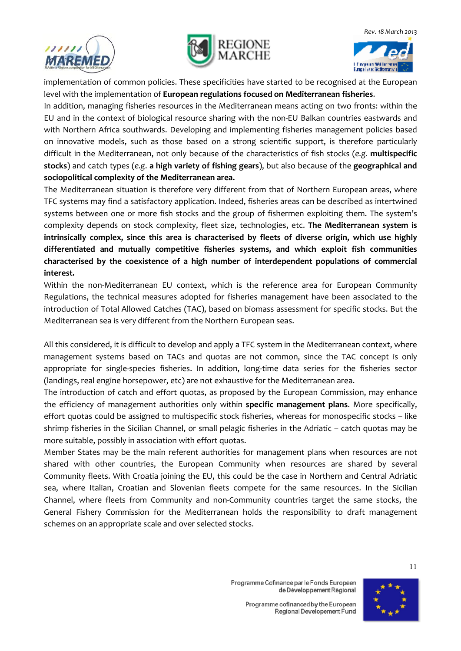





implementation of common policies. These specificities have started to be recognised at the European level with the implementation of **European regulations focused on Mediterranean fisheries**.

In addition, managing fisheries resources in the Mediterranean means acting on two fronts: within the EU and in the context of biological resource sharing with the non-EU Balkan countries eastwards and with Northern Africa southwards. Developing and implementing fisheries management policies based on innovative models, such as those based on a strong scientific support, is therefore particularly difficult in the Mediterranean, not only because of the characteristics of fish stocks (*e.g.* **multispecific stocks**) and catch types (*e.g*. **a high variety of fishing gears**), but also because of the **geographical and sociopolitical complexity of the Mediterranean area.** 

The Mediterranean situation is therefore very different from that of Northern European areas, where TFC systems may find a satisfactory application. Indeed, fisheries areas can be described as intertwined systems between one or more fish stocks and the group of fishermen exploiting them. The system's complexity depends on stock complexity, fleet size, technologies, etc. **The Mediterranean system is intrinsically complex, since this area is characterised by fleets of diverse origin, which use highly differentiated and mutually competitive fisheries systems, and which exploit fish communities characterised by the coexistence of a high number of interdependent populations of commercial interest.** 

Within the non-Mediterranean EU context, which is the reference area for European Community Regulations, the technical measures adopted for fisheries management have been associated to the introduction of Total Allowed Catches (TAC), based on biomass assessment for specific stocks. But the Mediterranean sea is very different from the Northern European seas.

All this considered, it is difficult to develop and apply a TFC system in the Mediterranean context, where management systems based on TACs and quotas are not common, since the TAC concept is only appropriate for single-species fisheries. In addition, long-time data series for the fisheries sector (landings, real engine horsepower, etc) are not exhaustive for the Mediterranean area.

The introduction of catch and effort quotas, as proposed by the European Commission, may enhance the efficiency of management authorities only within **specific management plans**. More specifically, effort quotas could be assigned to multispecific stock fisheries, whereas for monospecific stocks – like shrimp fisheries in the Sicilian Channel, or small pelagic fisheries in the Adriatic – catch quotas may be more suitable, possibly in association with effort quotas.

Member States may be the main referent authorities for management plans when resources are not shared with other countries, the European Community when resources are shared by several Community fleets. With Croatia joining the EU, this could be the case in Northern and Central Adriatic sea, where Italian, Croatian and Slovenian fleets compete for the same resources. In the Sicilian Channel, where fleets from Community and non-Community countries target the same stocks, the General Fishery Commission for the Mediterranean holds the responsibility to draft management schemes on an appropriate scale and over selected stocks.

> Programme Cofinancé par le Fonds Européen de Développement Régional

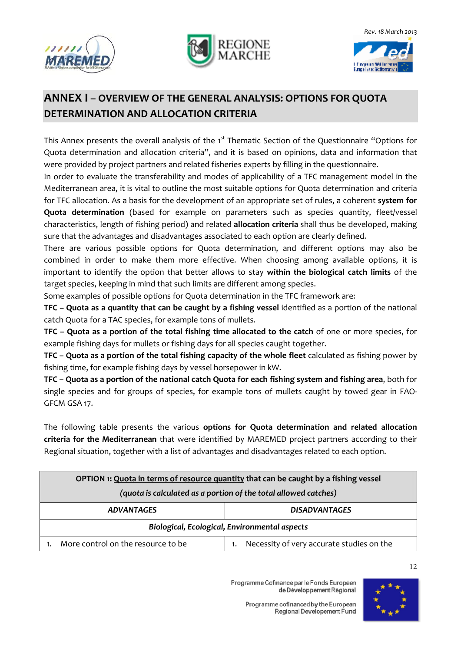





### **ANNEX I – OVERVIEW OF THE GENERAL ANALYSIS: OPTIONS FOR QUOTA DETERMINATION AND ALLOCATION CRITERIA**

This Annex presents the overall analysis of the 1<sup>st</sup> Thematic Section of the Questionnaire "Options for Quota determination and allocation criteria", and it is based on opinions, data and information that were provided by project partners and related fisheries experts by filling in the questionnaire.

In order to evaluate the transferability and modes of applicability of a TFC management model in the Mediterranean area, it is vital to outline the most suitable options for Quota determination and criteria for TFC allocation. As a basis for the development of an appropriate set of rules, a coherent **system for Quota determination** (based for example on parameters such as species quantity, fleet/vessel characteristics, length of fishing period) and related **allocation criteria** shall thus be developed, making sure that the advantages and disadvantages associated to each option are clearly defined.

There are various possible options for Quota determination, and different options may also be combined in order to make them more effective. When choosing among available options, it is important to identify the option that better allows to stay **within the biological catch limits** of the target species, keeping in mind that such limits are different among species.

Some examples of possible options for Quota determination in the TFC framework are:

**TFC – Quota as a quantity that can be caught by a fishing vessel** identified as a portion of the national catch Quota for a TAC species, for example tons of mullets.

**TFC – Quota as a portion of the total fishing time allocated to the catch** of one or more species, for example fishing days for mullets or fishing days for all species caught together.

**TFC – Quota as a portion of the total fishing capacity of the whole fleet** calculated as fishing power by fishing time, for example fishing days by vessel horsepower in kW.

**TFC – Quota as a portion of the national catch Quota for each fishing system and fishing area**, both for single species and for groups of species, for example tons of mullets caught by towed gear in FAO-GFCM GSA 17.

The following table presents the various **options for Quota determination and related allocation criteria for the Mediterranean** that were identified by MAREMED project partners according to their Regional situation, together with a list of advantages and disadvantages related to each option.

| OPTION 1: Quota in terms of resource quantity that can be caught by a fishing vessel |                                           |  |
|--------------------------------------------------------------------------------------|-------------------------------------------|--|
| (quota is calculated as a portion of the total allowed catches)                      |                                           |  |
| <b>ADVANTAGES</b>                                                                    | <b>DISADVANTAGES</b>                      |  |
| Biological, Ecological, Environmental aspects                                        |                                           |  |
| More control on the resource to be                                                   | Necessity of very accurate studies on the |  |

Programme Cofinancé par le Fonds Européen de Développement Régional

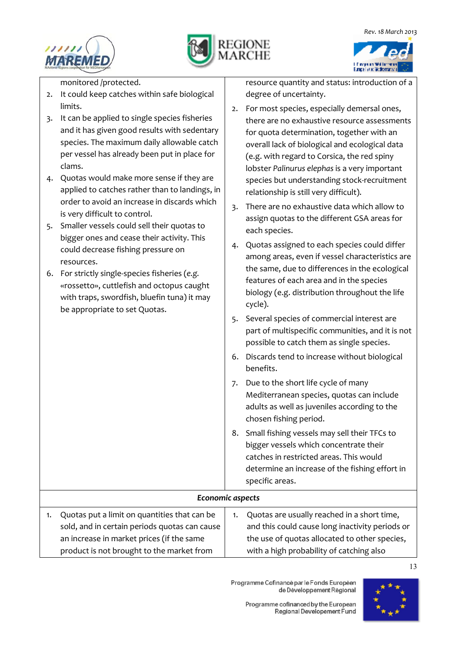





monitored /protected.

- 2. It could keep catches within safe biological limits.
- 3. It can be applied to single species fisheries and it has given good results with sedentary species. The maximum daily allowable catch per vessel has already been put in place for clams.
- 4. Quotas would make more sense if they are applied to catches rather than to landings, in order to avoid an increase in discards which is very difficult to control.
- 5. Smaller vessels could sell their quotas to bigger ones and cease their activity. This could decrease fishing pressure on resources.
- 6. For strictly single-species fisheries (*e.g.* «rossetto», cuttlefish and octopus caught with traps, swordfish, bluefin tuna) it may be appropriate to set Quotas.

resource quantity and status: introduction of a degree of uncertainty.

- 2. For most species, especially demersal ones, there are no exhaustive resource assessments for quota determination, together with an overall lack of biological and ecological data (e.g. with regard to Corsica, the red spiny lobster *Palinurus elephas* is a very important species but understanding stock-recruitment relationship is still very difficult).
- 3. There are no exhaustive data which allow to assign quotas to the different GSA areas for each species.
- 4. Quotas assigned to each species could differ among areas, even if vessel characteristics are the same, due to differences in the ecological features of each area and in the species biology (e.g. distribution throughout the life cycle).
- 5. Several species of commercial interest are part of multispecific communities, and it is not possible to catch them as single species.
- 6. Discards tend to increase without biological benefits.
- 7. Due to the short life cycle of many Mediterranean species, quotas can include adults as well as juveniles according to the chosen fishing period.
- 8. Small fishing vessels may sell their TFCs to bigger vessels which concentrate their catches in restricted areas. This would determine an increase of the fishing effort in specific areas.

#### *Economic aspects*

| 1. Quotas put a limit on quantities that can be | Quotas are usually reached in a short time,     |
|-------------------------------------------------|-------------------------------------------------|
| sold, and in certain periods quotas can cause   | and this could cause long inactivity periods or |
| an increase in market prices (if the same       | the use of quotas allocated to other species,   |
| product is not brought to the market from       | with a high probability of catching also        |

Programme Cofinancé par le Fonds Européen de Développement Régional

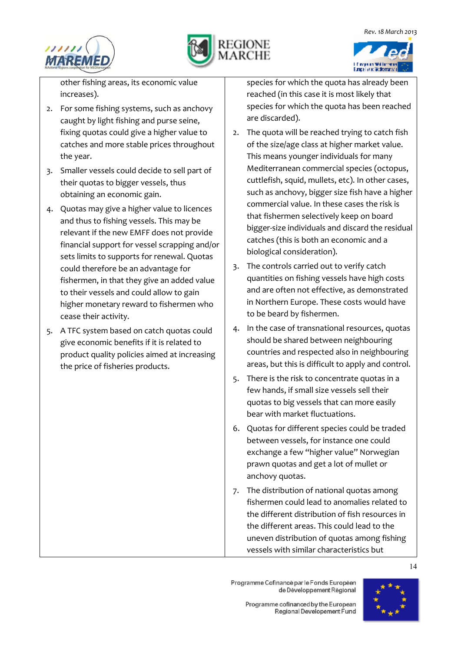





other fishing areas, its economic value increases).

- 2. For some fishing systems, such as anchovy caught by light fishing and purse seine, fixing quotas could give a higher value to catches and more stable prices throughout the year.
- 3. Smaller vessels could decide to sell part of their quotas to bigger vessels, thus obtaining an economic gain.
- 4. Quotas may give a higher value to licences and thus to fishing vessels. This may be relevant if the new EMFF does not provide financial support for vessel scrapping and/or sets limits to supports for renewal. Quotas could therefore be an advantage for fishermen, in that they give an added value to their vessels and could allow to gain higher monetary reward to fishermen who cease their activity.
- 5. A TFC system based on catch quotas could give economic benefits if it is related to product quality policies aimed at increasing the price of fisheries products.

species for which the quota has already been reached (in this case it is most likely that species for which the quota has been reached are discarded).

- 2. The quota will be reached trying to catch fish of the size/age class at higher market value. This means younger individuals for many Mediterranean commercial species (octopus, cuttlefish, squid, mullets, etc). In other cases, such as anchovy, bigger size fish have a higher commercial value. In these cases the risk is that fishermen selectively keep on board bigger-size individuals and discard the residual catches (this is both an economic and a biological consideration).
- 3. The controls carried out to verify catch quantities on fishing vessels have high costs and are often not effective, as demonstrated in Northern Europe. These costs would have to be beard by fishermen.
- 4. In the case of transnational resources, quotas should be shared between neighbouring countries and respected also in neighbouring areas, but this is difficult to apply and control.
- 5. There is the risk to concentrate quotas in a few hands, if small size vessels sell their quotas to big vessels that can more easily bear with market fluctuations.
- 6. Quotas for different species could be traded between vessels, for instance one could exchange a few "higher value" Norwegian prawn quotas and get a lot of mullet or anchovy quotas.
- 7. The distribution of national quotas among fishermen could lead to anomalies related to the different distribution of fish resources in the different areas. This could lead to the uneven distribution of quotas among fishing vessels with similar characteristics but

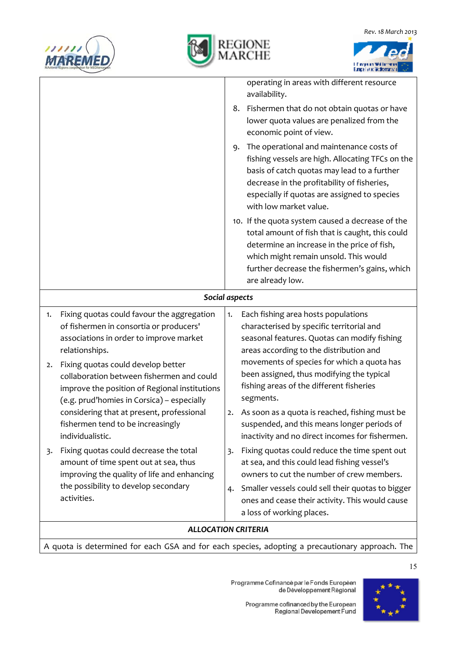





|                                                                                                                                                                                      | operating in areas with different resource<br>availability.                                                                                                                                                                                                                |  |  |
|--------------------------------------------------------------------------------------------------------------------------------------------------------------------------------------|----------------------------------------------------------------------------------------------------------------------------------------------------------------------------------------------------------------------------------------------------------------------------|--|--|
|                                                                                                                                                                                      | Fishermen that do not obtain quotas or have<br>8.<br>lower quota values are penalized from the<br>economic point of view.                                                                                                                                                  |  |  |
|                                                                                                                                                                                      | The operational and maintenance costs of<br>9.<br>fishing vessels are high. Allocating TFCs on the<br>basis of catch quotas may lead to a further<br>decrease in the profitability of fisheries,<br>especially if quotas are assigned to species<br>with low market value. |  |  |
|                                                                                                                                                                                      | 10. If the quota system caused a decrease of the<br>total amount of fish that is caught, this could<br>determine an increase in the price of fish,<br>which might remain unsold. This would<br>further decrease the fishermen's gains, which<br>are already low.           |  |  |
| Social aspects                                                                                                                                                                       |                                                                                                                                                                                                                                                                            |  |  |
| Fixing quotas could favour the aggregation<br>1.<br>of fishermen in consortia or producers'<br>associations in order to improve market<br>relationships.                             | Each fishing area hosts populations<br>1.<br>characterised by specific territorial and<br>seasonal features. Quotas can modify fishing<br>areas according to the distribution and                                                                                          |  |  |
| Fixing quotas could develop better<br>2.<br>collaboration between fishermen and could<br>improve the position of Regional institutions<br>(e.g. prud'homies in Corsica) - especially | movements of species for which a quota has<br>been assigned, thus modifying the typical<br>fishing areas of the different fisheries<br>segments.                                                                                                                           |  |  |
| considering that at present, professional<br>fishermen tend to be increasingly<br>individualistic.                                                                                   | As soon as a quota is reached, fishing must be<br>2.<br>suspended, and this means longer periods of<br>inactivity and no direct incomes for fishermen.                                                                                                                     |  |  |
| Fixing quotas could decrease the total<br>3.<br>amount of time spent out at sea, thus<br>improving the quality of life and enhancing                                                 | Fixing quotas could reduce the time spent out<br>3.<br>at sea, and this could lead fishing vessel's<br>owners to cut the number of crew members.                                                                                                                           |  |  |
| the possibility to develop secondary<br>activities.                                                                                                                                  | Smaller vessels could sell their quotas to bigger<br>4.<br>ones and cease their activity. This would cause<br>a loss of working places.                                                                                                                                    |  |  |
| <b>ALLOCATION CRITERIA</b>                                                                                                                                                           |                                                                                                                                                                                                                                                                            |  |  |

A quota is determined for each GSA and for each species, adopting a precautionary approach. The

Programme Cofinancé par le Fonds Européen<br>de Développement Régional

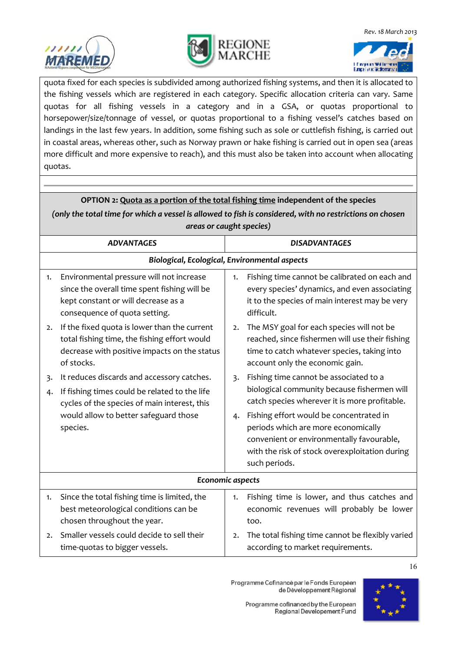





quota fixed for each species is subdivided among authorized fishing systems, and then it is allocated to the fishing vessels which are registered in each category. Specific allocation criteria can vary. Same quotas for all fishing vessels in a category and in a GSA, or quotas proportional to horsepower/size/tonnage of vessel, or quotas proportional to a fishing vessel's catches based on landings in the last few years. In addition, some fishing such as sole or cuttlefish fishing, is carried out in coastal areas, whereas other, such as Norway prawn or hake fishing is carried out in open sea (areas more difficult and more expensive to reach), and this must also be taken into account when allocating quotas.

| OPTION 2: Quota as a portion of the total fishing time independent of the species                        |                                                                                                                                                                  |                  |                                                                                                                                                                                                |  |
|----------------------------------------------------------------------------------------------------------|------------------------------------------------------------------------------------------------------------------------------------------------------------------|------------------|------------------------------------------------------------------------------------------------------------------------------------------------------------------------------------------------|--|
| (only the total time for which a vessel is allowed to fish is considered, with no restrictions on chosen |                                                                                                                                                                  |                  |                                                                                                                                                                                                |  |
|                                                                                                          | areas or caught species)                                                                                                                                         |                  |                                                                                                                                                                                                |  |
|                                                                                                          | <b>ADVANTAGES</b>                                                                                                                                                |                  | <b>DISADVANTAGES</b>                                                                                                                                                                           |  |
|                                                                                                          | Biological, Ecological, Environmental aspects                                                                                                                    |                  |                                                                                                                                                                                                |  |
| 1.                                                                                                       | Environmental pressure will not increase<br>since the overall time spent fishing will be<br>kept constant or will decrease as a<br>consequence of quota setting. | 1.               | Fishing time cannot be calibrated on each and<br>every species' dynamics, and even associating<br>it to the species of main interest may be very<br>difficult.                                 |  |
| 2.                                                                                                       | If the fixed quota is lower than the current<br>total fishing time, the fishing effort would<br>decrease with positive impacts on the status<br>of stocks.       | 2.               | The MSY goal for each species will not be<br>reached, since fishermen will use their fishing<br>time to catch whatever species, taking into<br>account only the economic gain.                 |  |
| 3.<br>4.                                                                                                 | It reduces discards and accessory catches.<br>If fishing times could be related to the life<br>cycles of the species of main interest, this                      | $\overline{3}$ . | Fishing time cannot be associated to a<br>biological community because fishermen will<br>catch species wherever it is more profitable.                                                         |  |
|                                                                                                          | would allow to better safeguard those<br>species.                                                                                                                | 4.               | Fishing effort would be concentrated in<br>periods which are more economically<br>convenient or environmentally favourable,<br>with the risk of stock overexploitation during<br>such periods. |  |
| Economic aspects                                                                                         |                                                                                                                                                                  |                  |                                                                                                                                                                                                |  |
| 1.                                                                                                       | Since the total fishing time is limited, the<br>best meteorological conditions can be<br>chosen throughout the year.                                             | 1.               | Fishing time is lower, and thus catches and<br>economic revenues will probably be lower<br>too.                                                                                                |  |
| 2.                                                                                                       | Smaller vessels could decide to sell their<br>time-quotas to bigger vessels.                                                                                     | 2.               | The total fishing time cannot be flexibly varied<br>according to market requirements.                                                                                                          |  |

Programme Cofinancé par le Fonds Européen de Développement Régional

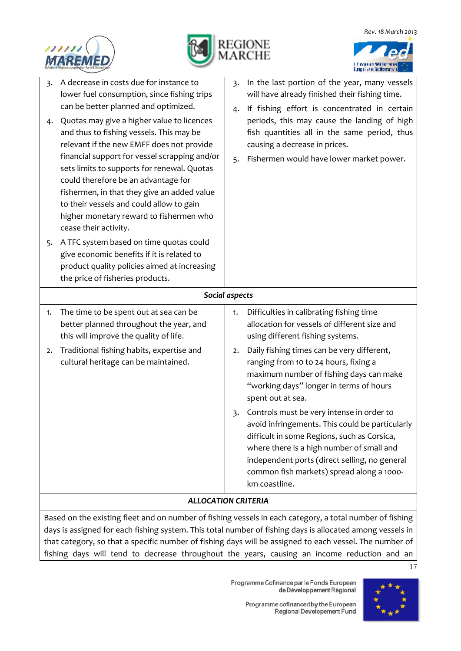



|                            | 3. A decrease in costs due for instance to<br>lower fuel consumption, since fishing trips                                                                                                                                                                                                                                                                                                                                                                | 3.       | In the last portion of the year, many vessels<br>will have already finished their fishing time.                                                                                                                                                                                                                                                                                                                                                                                                           |
|----------------------------|----------------------------------------------------------------------------------------------------------------------------------------------------------------------------------------------------------------------------------------------------------------------------------------------------------------------------------------------------------------------------------------------------------------------------------------------------------|----------|-----------------------------------------------------------------------------------------------------------------------------------------------------------------------------------------------------------------------------------------------------------------------------------------------------------------------------------------------------------------------------------------------------------------------------------------------------------------------------------------------------------|
| 4.                         | can be better planned and optimized.<br>Quotas may give a higher value to licences<br>and thus to fishing vessels. This may be<br>relevant if the new EMFF does not provide<br>financial support for vessel scrapping and/or<br>sets limits to supports for renewal. Quotas<br>could therefore be an advantage for<br>fishermen, in that they give an added value<br>to their vessels and could allow to gain<br>higher monetary reward to fishermen who | 4.<br>5. | If fishing effort is concentrated in certain<br>periods, this may cause the landing of high<br>fish quantities all in the same period, thus<br>causing a decrease in prices.<br>Fishermen would have lower market power.                                                                                                                                                                                                                                                                                  |
| 5.                         | cease their activity.<br>A TFC system based on time quotas could<br>give economic benefits if it is related to<br>product quality policies aimed at increasing<br>the price of fisheries products.                                                                                                                                                                                                                                                       |          |                                                                                                                                                                                                                                                                                                                                                                                                                                                                                                           |
| Social aspects             |                                                                                                                                                                                                                                                                                                                                                                                                                                                          |          |                                                                                                                                                                                                                                                                                                                                                                                                                                                                                                           |
| 1.                         | The time to be spent out at sea can be<br>better planned throughout the year, and<br>this will improve the quality of life.                                                                                                                                                                                                                                                                                                                              | 1.       | Difficulties in calibrating fishing time<br>allocation for vessels of different size and<br>using different fishing systems.                                                                                                                                                                                                                                                                                                                                                                              |
| 2.                         | Traditional fishing habits, expertise and<br>cultural heritage can be maintained.                                                                                                                                                                                                                                                                                                                                                                        | 2.<br>3. | Daily fishing times can be very different,<br>ranging from 10 to 24 hours, fixing a<br>maximum number of fishing days can make<br>"working days" longer in terms of hours<br>spent out at sea.<br>Controls must be very intense in order to<br>avoid infringements. This could be particularly<br>difficult in some Regions, such as Corsica,<br>where there is a high number of small and<br>independent ports (direct selling, no general<br>common fish markets) spread along a 1000-<br>km coastline. |
| <b>ALLOCATION CRITERIA</b> |                                                                                                                                                                                                                                                                                                                                                                                                                                                          |          |                                                                                                                                                                                                                                                                                                                                                                                                                                                                                                           |
|                            |                                                                                                                                                                                                                                                                                                                                                                                                                                                          |          |                                                                                                                                                                                                                                                                                                                                                                                                                                                                                                           |

Based on the existing fleet and on number of fishing vessels in each category, a total number of fishing days is assigned for each fishing system. This total number of fishing days is allocated among vessels in that category, so that a specific number of fishing days will be assigned to each vessel. The number of fishing days will tend to decrease throughout the years, causing an income reduction and an

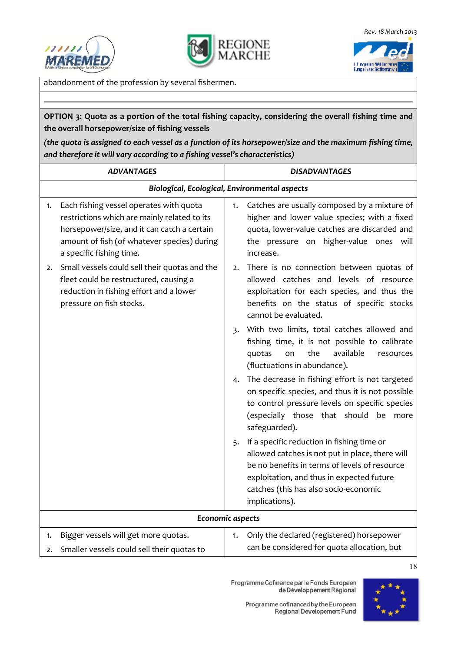



a in mega un mentioren.<br>Europei vois Moditerran

abandonment of the profession by several fishermen.

**OPTION 3: Quota as a portion of the total fishing capacity, considering the overall fishing time and the overall horsepower/size of fishing vessels** 

*(the quota is assigned to each vessel as a function of its horsepower/size and the maximum fishing time, and therefore it will vary according to a fishing vessel's characteristics)* 

| <b>ADVANTAGES</b>                                                                                                                                                                                                       | <b>DISADVANTAGES</b>                                                                                                                                                                                                                                      |  |
|-------------------------------------------------------------------------------------------------------------------------------------------------------------------------------------------------------------------------|-----------------------------------------------------------------------------------------------------------------------------------------------------------------------------------------------------------------------------------------------------------|--|
| Biological, Ecological, Environmental aspects                                                                                                                                                                           |                                                                                                                                                                                                                                                           |  |
| Each fishing vessel operates with quota<br>1.<br>restrictions which are mainly related to its<br>horsepower/size, and it can catch a certain<br>amount of fish (of whatever species) during<br>a specific fishing time. | Catches are usually composed by a mixture of<br>1.<br>higher and lower value species; with a fixed<br>quota, lower-value catches are discarded and<br>the pressure on higher-value ones will<br>increase.                                                 |  |
| Small vessels could sell their quotas and the<br>2.<br>fleet could be restructured, causing a<br>reduction in fishing effort and a lower<br>pressure on fish stocks.                                                    | There is no connection between quotas of<br>2.<br>allowed catches and levels of resource<br>exploitation for each species, and thus the<br>benefits on the status of specific stocks<br>cannot be evaluated.                                              |  |
|                                                                                                                                                                                                                         | With two limits, total catches allowed and<br>3.<br>fishing time, it is not possible to calibrate<br>available<br>the<br>quotas<br>on<br>resources<br>(fluctuations in abundance).                                                                        |  |
|                                                                                                                                                                                                                         | The decrease in fishing effort is not targeted<br>4.<br>on specific species, and thus it is not possible<br>to control pressure levels on specific species<br>(especially those that should be more<br>safeguarded).                                      |  |
|                                                                                                                                                                                                                         | 5. If a specific reduction in fishing time or<br>allowed catches is not put in place, there will<br>be no benefits in terms of levels of resource<br>exploitation, and thus in expected future<br>catches (this has also socio-economic<br>implications). |  |
|                                                                                                                                                                                                                         | Economic aspects                                                                                                                                                                                                                                          |  |
| Bigger vessels will get more quotas.<br>1.<br>Smaller vessels could sell their quotas to<br>2.                                                                                                                          | Only the declared (registered) horsepower<br>1.<br>can be considered for quota allocation, but                                                                                                                                                            |  |

Programme Cofinancé par le Fonds Européen de Développement Régional

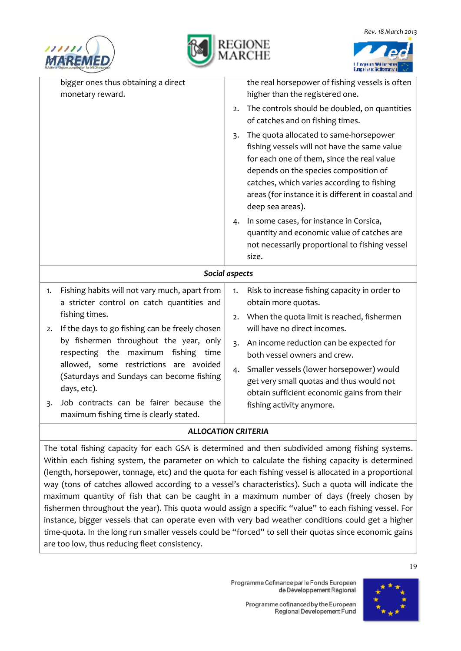





| bigger ones thus obtaining a direct<br>monetary reward.                                            | the real horsepower of fishing vessels is often<br>higher than the registered one.                                                                                                                                                                                                                                      |  |
|----------------------------------------------------------------------------------------------------|-------------------------------------------------------------------------------------------------------------------------------------------------------------------------------------------------------------------------------------------------------------------------------------------------------------------------|--|
|                                                                                                    | The controls should be doubled, on quantities<br>2.<br>of catches and on fishing times.                                                                                                                                                                                                                                 |  |
|                                                                                                    | The quota allocated to same-horsepower<br>$\overline{3}$<br>fishing vessels will not have the same value<br>for each one of them, since the real value<br>depends on the species composition of<br>catches, which varies according to fishing<br>areas (for instance it is different in coastal and<br>deep sea areas). |  |
|                                                                                                    | In some cases, for instance in Corsica,<br>4.<br>quantity and economic value of catches are<br>not necessarily proportional to fishing vessel<br>size.                                                                                                                                                                  |  |
| Social aspects                                                                                     |                                                                                                                                                                                                                                                                                                                         |  |
| Fishing habits will not vary much, apart from<br>1.<br>a stricter control on catch quantities and  | Risk to increase fishing capacity in order to<br>1.<br>obtain more quotas.                                                                                                                                                                                                                                              |  |
| fishing times.<br>If the days to go fishing can be freely chosen                                   | When the quota limit is reached, fishermen<br>2.<br>will have no direct incomes.                                                                                                                                                                                                                                        |  |
| 2.<br>by fishermen throughout the year, only<br>maximum<br>respecting the<br>fishing<br>time       | An income reduction can be expected for<br>3.<br>both vessel owners and crew.                                                                                                                                                                                                                                           |  |
| allowed, some restrictions are avoided<br>(Saturdays and Sundays can become fishing<br>days, etc). | Smaller vessels (lower horsepower) would<br>4.<br>get very small quotas and thus would not<br>obtain sufficient economic gains from their                                                                                                                                                                               |  |
| Job contracts can be fairer because the<br>3٠<br>maximum fishing time is clearly stated.           | fishing activity anymore.                                                                                                                                                                                                                                                                                               |  |

#### *ALLOCATION CRITERIA*

The total fishing capacity for each GSA is determined and then subdivided among fishing systems. Within each fishing system, the parameter on which to calculate the fishing capacity is determined (length, horsepower, tonnage, etc) and the quota for each fishing vessel is allocated in a proportional way (tons of catches allowed according to a vessel's characteristics). Such a quota will indicate the maximum quantity of fish that can be caught in a maximum number of days (freely chosen by fishermen throughout the year). This quota would assign a specific "value" to each fishing vessel. For instance, bigger vessels that can operate even with very bad weather conditions could get a higher time-quota. In the long run smaller vessels could be "forced" to sell their quotas since economic gains are too low, thus reducing fleet consistency.

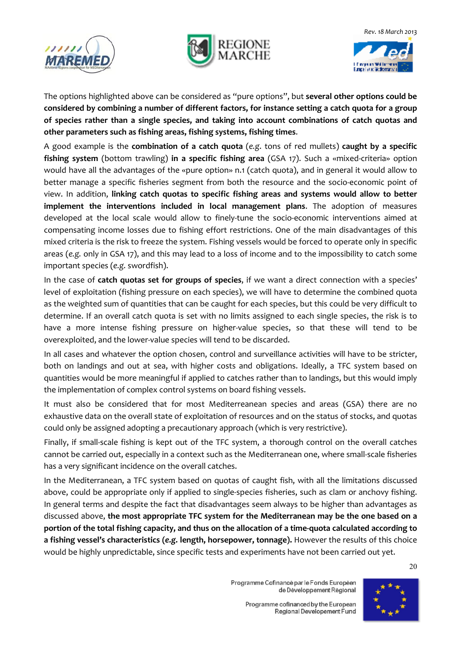





The options highlighted above can be considered as "pure options", but **several other options could be considered by combining a number of different factors, for instance setting a catch quota for a group of species rather than a single species, and taking into account combinations of catch quotas and other parameters such as fishing areas, fishing systems, fishing times**.

A good example is the **combination of a catch quota** (*e.g*. tons of red mullets) **caught by a specific fishing system** (bottom trawling) **in a specific fishing area** (GSA 17). Such a «mixed-criteria» option would have all the advantages of the «pure option» n.1 (catch quota), and in general it would allow to better manage a specific fisheries segment from both the resource and the socio-economic point of view. In addition, **linking catch quotas to specific fishing areas and systems would allow to better implement the interventions included in local management plans**. The adoption of measures developed at the local scale would allow to finely-tune the socio-economic interventions aimed at compensating income losses due to fishing effort restrictions. One of the main disadvantages of this mixed criteria is the risk to freeze the system. Fishing vessels would be forced to operate only in specific areas (*e.g.* only in GSA 17), and this may lead to a loss of income and to the impossibility to catch some important species (*e.g.* swordfish).

In the case of **catch quotas set for groups of species**, if we want a direct connection with a species' level of exploitation (fishing pressure on each species), we will have to determine the combined quota as the weighted sum of quantities that can be caught for each species, but this could be very difficult to determine. If an overall catch quota is set with no limits assigned to each single species, the risk is to have a more intense fishing pressure on higher-value species, so that these will tend to be overexploited, and the lower-value species will tend to be discarded.

In all cases and whatever the option chosen, control and surveillance activities will have to be stricter, both on landings and out at sea, with higher costs and obligations. Ideally, a TFC system based on quantities would be more meaningful if applied to catches rather than to landings, but this would imply the implementation of complex control systems on board fishing vessels.

It must also be considered that for most Mediterreanean species and areas (GSA) there are no exhaustive data on the overall state of exploitation of resources and on the status of stocks, and quotas could only be assigned adopting a precautionary approach (which is very restrictive).

Finally, if small-scale fishing is kept out of the TFC system, a thorough control on the overall catches cannot be carried out, especially in a context such as the Mediterranean one, where small-scale fisheries has a very significant incidence on the overall catches.

In the Mediterranean, a TFC system based on quotas of caught fish, with all the limitations discussed above, could be appropriate only if applied to single-species fisheries, such as clam or anchovy fishing. In general terms and despite the fact that disadvantages seem always to be higher than advantages as discussed above, **the most appropriate TFC system for the Mediterranean may be the one based on a portion of the total fishing capacity, and thus on the allocation of a time-quota calculated according to a fishing vessel's characteristics (***e.g.* **length, horsepower, tonnage).** However the results of this choice would be highly unpredictable, since specific tests and experiments have not been carried out yet.

20

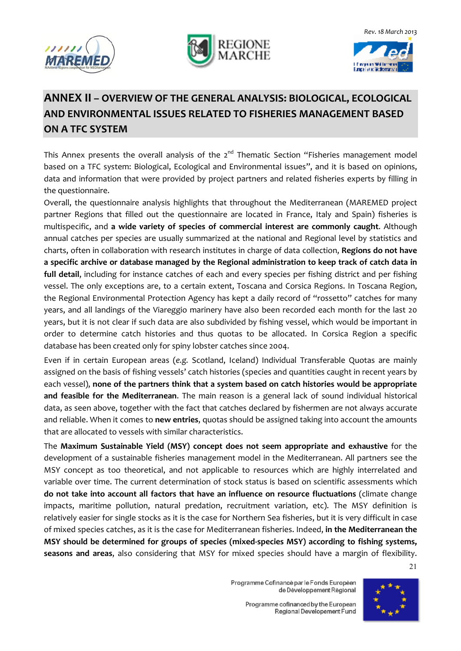





### **ANNEX II – OVERVIEW OF THE GENERAL ANALYSIS: BIOLOGICAL, ECOLOGICAL AND ENVIRONMENTAL ISSUES RELATED TO FISHERIES MANAGEMENT BASED ON A TFC SYSTEM**

This Annex presents the overall analysis of the  $2^{nd}$  Thematic Section "Fisheries management model based on a TFC system: Biological, Ecological and Environmental issues", and it is based on opinions, data and information that were provided by project partners and related fisheries experts by filling in the questionnaire.

Overall, the questionnaire analysis highlights that throughout the Mediterranean (MAREMED project partner Regions that filled out the questionnaire are located in France, Italy and Spain) fisheries is multispecific, and **a wide variety of species of commercial interest are commonly caught**. Although annual catches per species are usually summarized at the national and Regional level by statistics and charts, often in collaboration with research institutes in charge of data collection, **Regions do not have a specific archive or database managed by the Regional administration to keep track of catch data in full detail**, including for instance catches of each and every species per fishing district and per fishing vessel. The only exceptions are, to a certain extent, Toscana and Corsica Regions. In Toscana Region, the Regional Environmental Protection Agency has kept a daily record of "rossetto" catches for many years, and all landings of the Viareggio marinery have also been recorded each month for the last 20 years, but it is not clear if such data are also subdivided by fishing vessel, which would be important in order to determine catch histories and thus quotas to be allocated. In Corsica Region a specific database has been created only for spiny lobster catches since 2004.

Even if in certain European areas (*e.g.* Scotland, Iceland) Individual Transferable Quotas are mainly assigned on the basis of fishing vessels' catch histories (species and quantities caught in recent years by each vessel), **none of the partners think that a system based on catch histories would be appropriate and feasible for the Mediterranean**. The main reason is a general lack of sound individual historical data, as seen above, together with the fact that catches declared by fishermen are not always accurate and reliable. When it comes to **new entries**, quotas should be assigned taking into account the amounts that are allocated to vessels with similar characteristics.

The **Maximum Sustainable Yield (MSY) concept does not seem appropriate and exhaustive** for the development of a sustainable fisheries management model in the Mediterranean. All partners see the MSY concept as too theoretical, and not applicable to resources which are highly interrelated and variable over time. The current determination of stock status is based on scientific assessments which **do not take into account all factors that have an influence on resource fluctuations** (climate change impacts, maritime pollution, natural predation, recruitment variation, etc). The MSY definition is relatively easier for single stocks as it is the case for Northern Sea fisheries, but it is very difficult in case of mixed species catches, as it is the case for Mediterranean fisheries. Indeed, **in the Mediterranean the MSY should be determined for groups of species (mixed-species MSY) according to fishing systems, seasons and areas**, also considering that MSY for mixed species should have a margin of flexibility.

21

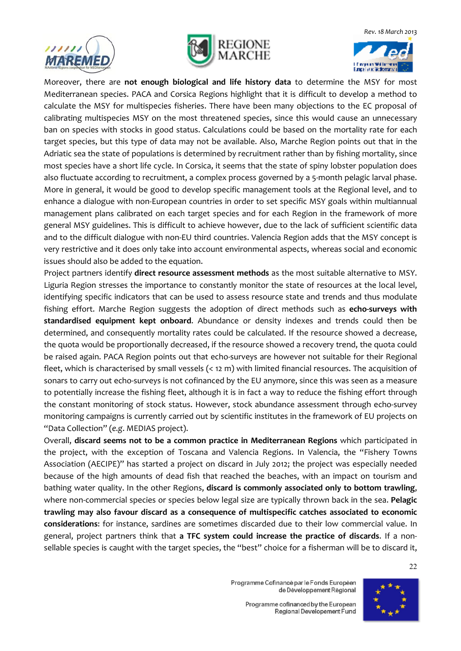





Moreover, there are **not enough biological and life history data** to determine the MSY for most Mediterranean species. PACA and Corsica Regions highlight that it is difficult to develop a method to calculate the MSY for multispecies fisheries. There have been many objections to the EC proposal of calibrating multispecies MSY on the most threatened species, since this would cause an unnecessary ban on species with stocks in good status. Calculations could be based on the mortality rate for each target species, but this type of data may not be available. Also, Marche Region points out that in the Adriatic sea the state of populations is determined by recruitment rather than by fishing mortality, since most species have a short life cycle. In Corsica, it seems that the state of spiny lobster population does also fluctuate according to recruitment, a complex process governed by a 5-month pelagic larval phase. More in general, it would be good to develop specific management tools at the Regional level, and to enhance a dialogue with non-European countries in order to set specific MSY goals within multiannual management plans calibrated on each target species and for each Region in the framework of more general MSY guidelines. This is difficult to achieve however, due to the lack of sufficient scientific data and to the difficult dialogue with non-EU third countries. Valencia Region adds that the MSY concept is very restrictive and it does only take into account environmental aspects, whereas social and economic issues should also be added to the equation.

Project partners identify **direct resource assessment methods** as the most suitable alternative to MSY. Liguria Region stresses the importance to constantly monitor the state of resources at the local level, identifying specific indicators that can be used to assess resource state and trends and thus modulate fishing effort. Marche Region suggests the adoption of direct methods such as **echo-surveys with standardised equipment kept onboard**. Abundance or density indexes and trends could then be determined, and consequently mortality rates could be calculated. If the resource showed a decrease, the quota would be proportionally decreased, if the resource showed a recovery trend, the quota could be raised again. PACA Region points out that echo-surveys are however not suitable for their Regional fleet, which is characterised by small vessels (< 12 m) with limited financial resources. The acquisition of sonars to carry out echo-surveys is not cofinanced by the EU anymore, since this was seen as a measure to potentially increase the fishing fleet, although it is in fact a way to reduce the fishing effort through the constant monitoring of stock status. However, stock abundance assessment through echo-survey monitoring campaigns is currently carried out by scientific institutes in the framework of EU projects on "Data Collection" (*e.g*. MEDIAS project).

Overall, **discard seems not to be a common practice in Mediterranean Regions** which participated in the project, with the exception of Toscana and Valencia Regions. In Valencia, the "Fishery Towns Association (AECIPE)" has started a project on discard in July 2012; the project was especially needed because of the high amounts of dead fish that reached the beaches, with an impact on tourism and bathing water quality. In the other Regions, **discard is commonly associated only to bottom trawling**, where non-commercial species or species below legal size are typically thrown back in the sea. **Pelagic trawling may also favour discard as a consequence of multispecific catches associated to economic considerations**: for instance, sardines are sometimes discarded due to their low commercial value. In general, project partners think that **a TFC system could increase the practice of discards**. If a nonsellable species is caught with the target species, the "best" choice for a fisherman will be to discard it,

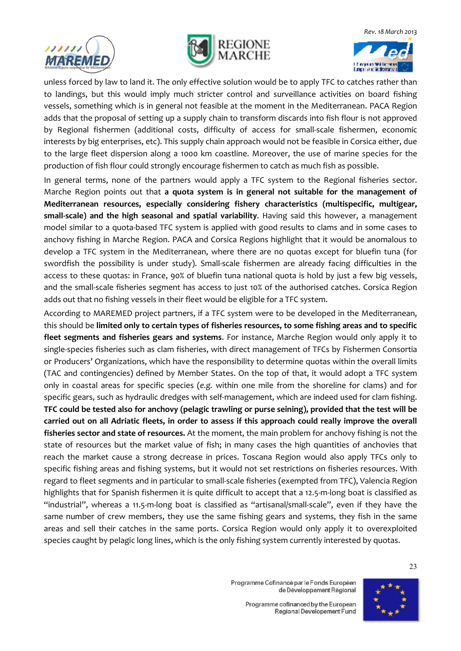





unless forced by law to land it. The only effective solution would be to apply TFC to catches rather than to landings, but this would imply much stricter control and surveillance activities on board fishing vessels, something which is in general not feasible at the moment in the Mediterranean. PACA Region adds that the proposal of setting up a supply chain to transform discards into fish flour is not approved by Regional fishermen (additional costs, difficulty of access for small-scale fishermen, economic interests by big enterprises, etc). This supply chain approach would not be feasible in Corsica either, due to the large fleet dispersion along a 1000 km coastline. Moreover, the use of marine species for the production of fish flour could strongly encourage fishermen to catch as much fish as possible.

In general terms, none of the partners would apply a TFC system to the Regional fisheries sector. Marche Region points out that **a quota system is in general not suitable for the management of Mediterranean resources, especially considering fishery characteristics (multispecific, multigear, small-scale) and the high seasonal and spatial variability**. Having said this however, a management model similar to a quota-based TFC system is applied with good results to clams and in some cases to anchovy fishing in Marche Region. PACA and Corsica Regions highlight that it would be anomalous to develop a TFC system in the Mediterranean, where there are no quotas except for bluefin tuna (for swordfish the possibility is under study). Small-scale fishermen are already facing difficulties in the access to these quotas: in France, 90% of bluefin tuna national quota is hold by just a few big vessels, and the small-scale fisheries segment has access to just 10% of the authorised catches. Corsica Region adds out that no fishing vessels in their fleet would be eligible for a TFC system.

According to MAREMED project partners, if a TFC system were to be developed in the Mediterranean, this should be **limited only to certain types of fisheries resources, to some fishing areas and to specific fleet segments and fisheries gears and systems**. For instance, Marche Region would only apply it to single-species fisheries such as clam fisheries, with direct management of TFCs by Fishermen Consortia or Producers' Organizations, which have the responsibility to determine quotas within the overall limits (TAC and contingencies) defined by Member States. On the top of that, it would adopt a TFC system only in coastal areas for specific species (*e.g.* within one mile from the shoreline for clams) and for specific gears, such as hydraulic dredges with self-management, which are indeed used for clam fishing. **TFC could be tested also for anchovy (pelagic trawling or purse seining), provided that the test will be carried out on all Adriatic fleets, in order to assess if this approach could really improve the overall fisheries sector and state of resources.** At the moment, the main problem for anchovy fishing is not the state of resources but the market value of fish; in many cases the high quantities of anchovies that reach the market cause a strong decrease in prices. Toscana Region would also apply TFCs only to specific fishing areas and fishing systems, but it would not set restrictions on fisheries resources. With regard to fleet segments and in particular to small-scale fisheries (exempted from TFC), Valencia Region highlights that for Spanish fishermen it is quite difficult to accept that a 12.5-m-long boat is classified as "industrial", whereas a 11.5-m-long boat is classified as "artisanal/small-scale", even if they have the same number of crew members, they use the same fishing gears and systems, they fish in the same areas and sell their catches in the same ports. Corsica Region would only apply it to overexploited species caught by pelagic long lines, which is the only fishing system currently interested by quotas.

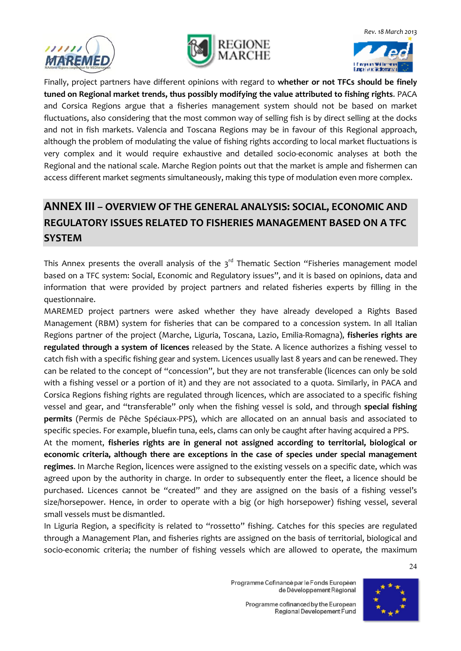





Finally, project partners have different opinions with regard to **whether or not TFCs should be finely tuned on Regional market trends, thus possibly modifying the value attributed to fishing rights**. PACA and Corsica Regions argue that a fisheries management system should not be based on market fluctuations, also considering that the most common way of selling fish is by direct selling at the docks and not in fish markets. Valencia and Toscana Regions may be in favour of this Regional approach, although the problem of modulating the value of fishing rights according to local market fluctuations is very complex and it would require exhaustive and detailed socio-economic analyses at both the Regional and the national scale. Marche Region points out that the market is ample and fishermen can access different market segments simultaneously, making this type of modulation even more complex.

#### **ANNEX III – OVERVIEW OF THE GENERAL ANALYSIS: SOCIAL, ECONOMIC AND REGULATORY ISSUES RELATED TO FISHERIES MANAGEMENT BASED ON A TFC SYSTEM**

This Annex presents the overall analysis of the  $3<sup>rd</sup>$  Thematic Section "Fisheries management model based on a TFC system: Social, Economic and Regulatory issues", and it is based on opinions, data and information that were provided by project partners and related fisheries experts by filling in the questionnaire.

MAREMED project partners were asked whether they have already developed a Rights Based Management (RBM) system for fisheries that can be compared to a concession system. In all Italian Regions partner of the project (Marche, Liguria, Toscana, Lazio, Emilia-Romagna), **fisheries rights are regulated through a system of licences** released by the State. A licence authorizes a fishing vessel to catch fish with a specific fishing gear and system. Licences usually last 8 years and can be renewed. They can be related to the concept of "concession", but they are not transferable (licences can only be sold with a fishing vessel or a portion of it) and they are not associated to a quota. Similarly, in PACA and Corsica Regions fishing rights are regulated through licences, which are associated to a specific fishing vessel and gear, and "transferable" only when the fishing vessel is sold, and through **special fishing permits** (Permis de Pêche Spéciaux-PPS), which are allocated on an annual basis and associated to specific species. For example, bluefin tuna, eels, clams can only be caught after having acquired a PPS.

At the moment, **fisheries rights are in general not assigned according to territorial, biological or economic criteria, although there are exceptions in the case of species under special management regimes**. In Marche Region, licences were assigned to the existing vessels on a specific date, which was agreed upon by the authority in charge. In order to subsequently enter the fleet, a licence should be purchased. Licences cannot be "created" and they are assigned on the basis of a fishing vessel's size/horsepower. Hence, in order to operate with a big (or high horsepower) fishing vessel, several small vessels must be dismantled.

In Liguria Region, a specificity is related to "rossetto" fishing. Catches for this species are regulated through a Management Plan, and fisheries rights are assigned on the basis of territorial, biological and socio-economic criteria; the number of fishing vessels which are allowed to operate, the maximum

> Programme Cofinancé par le Fonds Européen de Développement Régional



Programme cofinanced by the European Regional Developement Fund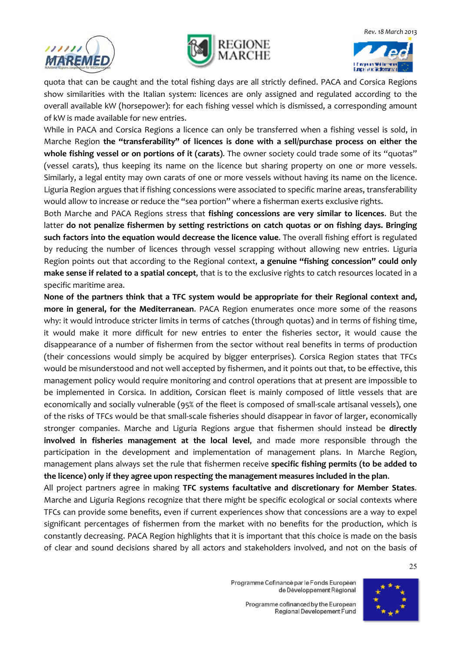





quota that can be caught and the total fishing days are all strictly defined. PACA and Corsica Regions show similarities with the Italian system: licences are only assigned and regulated according to the overall available kW (horsepower): for each fishing vessel which is dismissed, a corresponding amount of kW is made available for new entries.

While in PACA and Corsica Regions a licence can only be transferred when a fishing vessel is sold, in Marche Region **the "transferability" of licences is done with a sell/purchase process on either the whole fishing vessel or on portions of it (carats)**. The owner society could trade some of its "quotas" (vessel carats), thus keeping its name on the licence but sharing property on one or more vessels. Similarly, a legal entity may own carats of one or more vessels without having its name on the licence. Liguria Region argues that if fishing concessions were associated to specific marine areas, transferability would allow to increase or reduce the "sea portion" where a fisherman exerts exclusive rights.

Both Marche and PACA Regions stress that **fishing concessions are very similar to licences**. But the latter **do not penalize fishermen by setting restrictions on catch quotas or on fishing days. Bringing such factors into the equation would decrease the licence value**. The overall fishing effort is regulated by reducing the number of licences through vessel scrapping without allowing new entries. Liguria Region points out that according to the Regional context, **a genuine "fishing concession" could only make sense if related to a spatial concept**, that is to the exclusive rights to catch resources located in a specific maritime area.

**None of the partners think that a TFC system would be appropriate for their Regional context and, more in general, for the Mediterranean**. PACA Region enumerates once more some of the reasons why: it would introduce stricter limits in terms of catches (through quotas) and in terms of fishing time, it would make it more difficult for new entries to enter the fisheries sector, it would cause the disappearance of a number of fishermen from the sector without real benefits in terms of production (their concessions would simply be acquired by bigger enterprises). Corsica Region states that TFCs would be misunderstood and not well accepted by fishermen, and it points out that, to be effective, this management policy would require monitoring and control operations that at present are impossible to be implemented in Corsica. In addition, Corsican fleet is mainly composed of little vessels that are economically and socially vulnerable (95% of the fleet is composed of small-scale artisanal vessels), one of the risks of TFCs would be that small-scale fisheries should disappear in favor of larger, economically stronger companies. Marche and Liguria Regions argue that fishermen should instead be **directly involved in fisheries management at the local level**, and made more responsible through the participation in the development and implementation of management plans. In Marche Region, management plans always set the rule that fishermen receive **specific fishing permits (to be added to the licence) only if they agree upon respecting the management measures included in the plan**.

All project partners agree in making **TFC systems facultative and discretionary for Member States**. Marche and Liguria Regions recognize that there might be specific ecological or social contexts where TFCs can provide some benefits, even if current experiences show that concessions are a way to expel significant percentages of fishermen from the market with no benefits for the production, which is constantly decreasing. PACA Region highlights that it is important that this choice is made on the basis of clear and sound decisions shared by all actors and stakeholders involved, and not on the basis of

> Programme Cofinancé par le Fonds Européen de Développement Régional

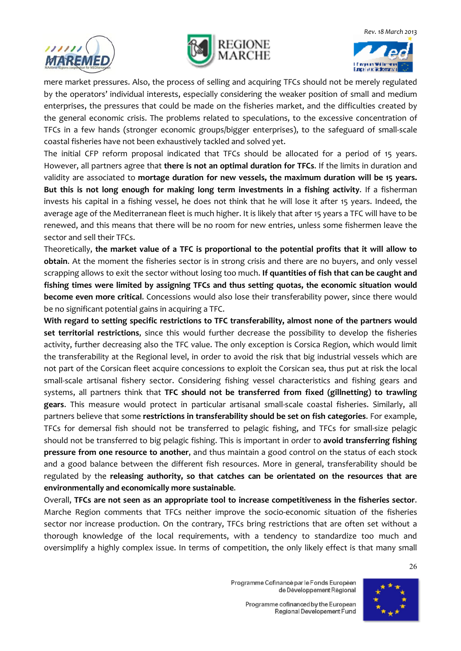





mere market pressures. Also, the process of selling and acquiring TFCs should not be merely regulated by the operators' individual interests, especially considering the weaker position of small and medium enterprises, the pressures that could be made on the fisheries market, and the difficulties created by the general economic crisis. The problems related to speculations, to the excessive concentration of TFCs in a few hands (stronger economic groups/bigger enterprises), to the safeguard of small-scale coastal fisheries have not been exhaustively tackled and solved yet.

The initial CFP reform proposal indicated that TFCs should be allocated for a period of 15 years. However, all partners agree that **there is not an optimal duration for TFCs**. If the limits in duration and validity are associated to **mortage duration for new vessels, the maximum duration will be 15 years. But this is not long enough for making long term investments in a fishing activity**. If a fisherman invests his capital in a fishing vessel, he does not think that he will lose it after 15 years. Indeed, the average age of the Mediterranean fleet is much higher. It is likely that after 15 years a TFC will have to be renewed, and this means that there will be no room for new entries, unless some fishermen leave the sector and sell their TFCs.

Theoretically, **the market value of a TFC is proportional to the potential profits that it will allow to obtain**. At the moment the fisheries sector is in strong crisis and there are no buyers, and only vessel scrapping allows to exit the sector without losing too much. **If quantities of fish that can be caught and fishing times were limited by assigning TFCs and thus setting quotas, the economic situation would become even more critical**. Concessions would also lose their transferability power, since there would be no significant potential gains in acquiring a TFC.

**With regard to setting specific restrictions to TFC transferability, almost none of the partners would set territorial restrictions**, since this would further decrease the possibility to develop the fisheries activity, further decreasing also the TFC value. The only exception is Corsica Region, which would limit the transferability at the Regional level, in order to avoid the risk that big industrial vessels which are not part of the Corsican fleet acquire concessions to exploit the Corsican sea, thus put at risk the local small-scale artisanal fishery sector. Considering fishing vessel characteristics and fishing gears and systems, all partners think that **TFC should not be transferred from fixed (gillnetting) to trawling gears**. This measure would protect in particular artisanal small-scale coastal fisheries. Similarly, all partners believe that some **restrictions in transferability should be set on fish categories**. For example, TFCs for demersal fish should not be transferred to pelagic fishing, and TFCs for small-size pelagic should not be transferred to big pelagic fishing. This is important in order to **avoid transferring fishing pressure from one resource to another**, and thus maintain a good control on the status of each stock and a good balance between the different fish resources. More in general, transferability should be regulated by the **releasing authority, so that catches can be orientated on the resources that are environmentally and economically more sustainable**.

Overall, **TFCs are not seen as an appropriate tool to increase competitiveness in the fisheries sector**. Marche Region comments that TFCs neither improve the socio-economic situation of the fisheries sector nor increase production. On the contrary, TFCs bring restrictions that are often set without a thorough knowledge of the local requirements, with a tendency to standardize too much and oversimplify a highly complex issue. In terms of competition, the only likely effect is that many small

> Programme Cofinancé par le Fonds Européen de Développement Régional

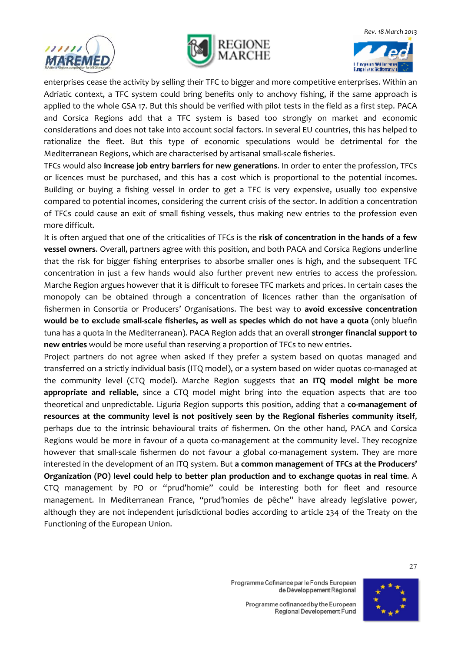





enterprises cease the activity by selling their TFC to bigger and more competitive enterprises. Within an Adriatic context, a TFC system could bring benefits only to anchovy fishing, if the same approach is applied to the whole GSA 17. But this should be verified with pilot tests in the field as a first step. PACA and Corsica Regions add that a TFC system is based too strongly on market and economic considerations and does not take into account social factors. In several EU countries, this has helped to rationalize the fleet. But this type of economic speculations would be detrimental for the Mediterranean Regions, which are characterised by artisanal small-scale fisheries.

TFCs would also **increase job entry barriers for new generations**. In order to enter the profession, TFCs or licences must be purchased, and this has a cost which is proportional to the potential incomes. Building or buying a fishing vessel in order to get a TFC is very expensive, usually too expensive compared to potential incomes, considering the current crisis of the sector. In addition a concentration of TFCs could cause an exit of small fishing vessels, thus making new entries to the profession even more difficult.

It is often argued that one of the criticalities of TFCs is the **risk of concentration in the hands of a few vessel owners**. Overall, partners agree with this position, and both PACA and Corsica Regions underline that the risk for bigger fishing enterprises to absorbe smaller ones is high, and the subsequent TFC concentration in just a few hands would also further prevent new entries to access the profession. Marche Region argues however that it is difficult to foresee TFC markets and prices. In certain cases the monopoly can be obtained through a concentration of licences rather than the organisation of fishermen in Consortia or Producers' Organisations. The best way to **avoid excessive concentration would be to exclude small-scale fisheries, as well as species which do not have a quota** (only bluefin tuna has a quota in the Mediterranean). PACA Region adds that an overall **stronger financial support to new entries** would be more useful than reserving a proportion of TFCs to new entries.

Project partners do not agree when asked if they prefer a system based on quotas managed and transferred on a strictly individual basis (ITQ model), or a system based on wider quotas co-managed at the community level (CTQ model). Marche Region suggests that **an ITQ model might be more appropriate and reliable**, since a CTQ model might bring into the equation aspects that are too theoretical and unpredictable. Liguria Region supports this position, adding that a **co-management of resources at the community level is not positively seen by the Regional fisheries community itself**, perhaps due to the intrinsic behavioural traits of fishermen. On the other hand, PACA and Corsica Regions would be more in favour of a quota co-management at the community level. They recognize however that small-scale fishermen do not favour a global co-management system. They are more interested in the development of an ITQ system. But **a common management of TFCs at the Producers' Organization (PO) level could help to better plan production and to exchange quotas in real time**. A CTQ management by PO or "prud'homie" could be interesting both for fleet and resource management. In Mediterranean France, "prud'homies de pêche" have already legislative power, although they are not independent jurisdictional bodies according to article 234 of the Treaty on the Functioning of the European Union.